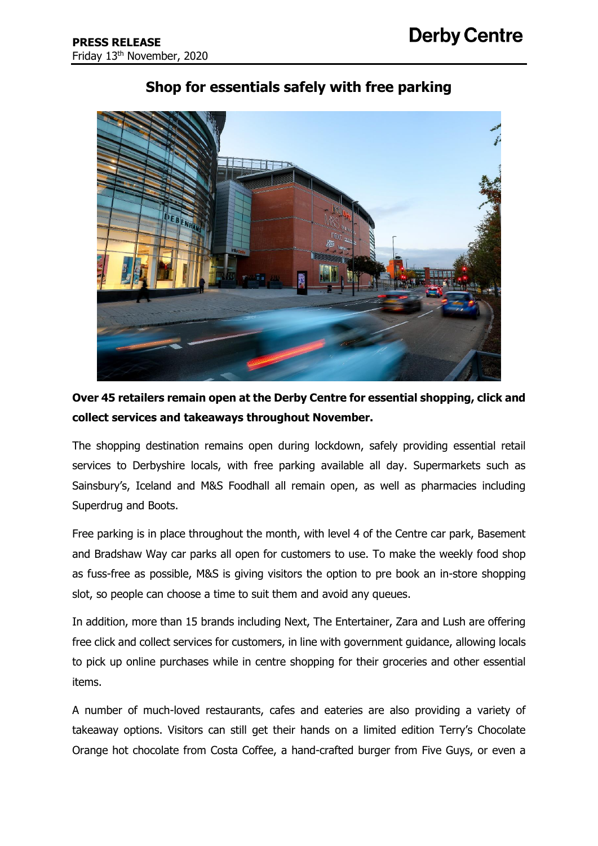

# **Shop for essentials safely with free parking**

**Over 45 retailers remain open at the Derby Centre for essential shopping, click and collect services and takeaways throughout November.** 

The shopping destination remains open during lockdown, safely providing essential retail services to Derbyshire locals, with free parking available all day. Supermarkets such as Sainsbury's, Iceland and M&S Foodhall all remain open, as well as pharmacies including Superdrug and Boots.

Free parking is in place throughout the month, with level 4 of the Centre car park, Basement and Bradshaw Way car parks all open for customers to use. To make the weekly food shop as fuss-free as possible, M&S is giving visitors the option to pre book an in-store shopping slot, so people can choose a time to suit them and avoid any queues.

In addition, more than 15 brands including Next, The Entertainer, Zara and Lush are offering free click and collect services for customers, in line with government guidance, allowing locals to pick up online purchases while in centre shopping for their groceries and other essential items.

A number of much-loved restaurants, cafes and eateries are also providing a variety of takeaway options. Visitors can still get their hands on a limited edition Terry's Chocolate Orange hot chocolate from Costa Coffee, a hand-crafted burger from Five Guys, or even a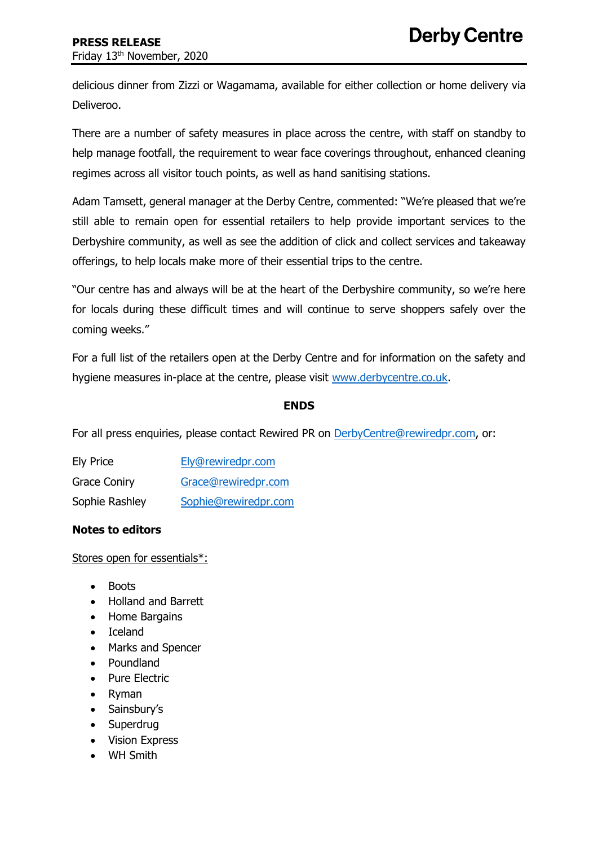delicious dinner from Zizzi or Wagamama, available for either collection or home delivery via Deliveroo.

There are a number of safety measures in place across the centre, with staff on standby to help manage footfall, the requirement to wear face coverings throughout, enhanced cleaning regimes across all visitor touch points, as well as hand sanitising stations.

Adam Tamsett, general manager at the Derby Centre, commented: "We're pleased that we're still able to remain open for essential retailers to help provide important services to the Derbyshire community, as well as see the addition of click and collect services and takeaway offerings, to help locals make more of their essential trips to the centre.

"Our centre has and always will be at the heart of the Derbyshire community, so we're here for locals during these difficult times and will continue to serve shoppers safely over the coming weeks."

For a full list of the retailers open at the Derby Centre and for information on the safety and hygiene measures in-place at the centre, please visit [www.derbycentre.co.uk.](file:///C:/Users/User/AppData/Local/Microsoft/Windows/INetCache/Content.Outlook/3NBK1DRL/www.derbycentre.co.uk)

### **ENDS**

For all press enquiries, please contact Rewired PR on [DerbyCentre@rewiredpr.com,](mailto:DerbyCentre@rewiredpr.com) or:

| <b>Ely Price</b>    | Ely@rewiredpr.com    |
|---------------------|----------------------|
| <b>Grace Coniry</b> | Grace@rewiredpr.com  |
| Sophie Rashley      | Sophie@rewiredpr.com |

## **Notes to editors**

Stores open for essentials\*:

- Boots
- Holland and Barrett
- Home Bargains
- Iceland
- Marks and Spencer
- Poundland
- Pure Electric
- Ryman
- Sainsbury's
- **Superdrug**
- Vision Express
- WH Smith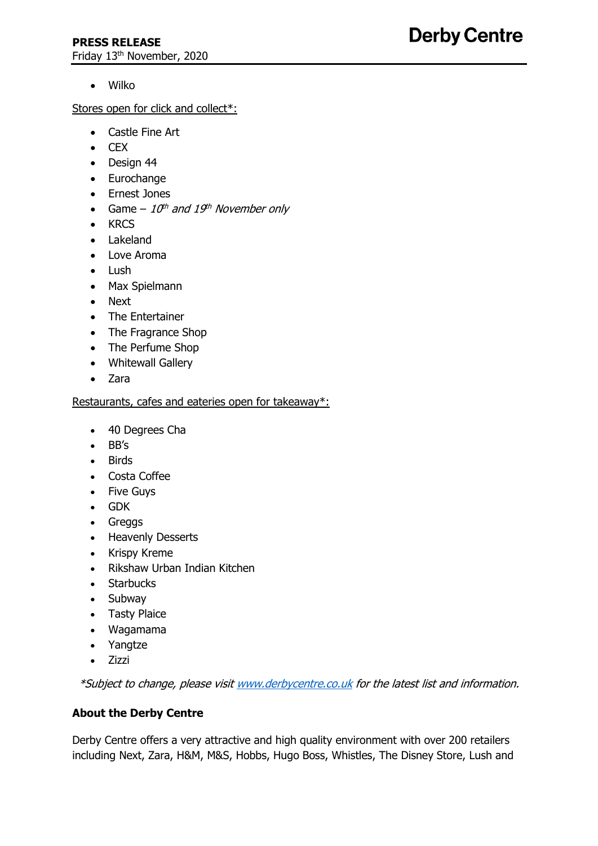• Wilko

Stores open for click and collect\*:

- Castle Fine Art
- CEX
- Design 44
- Eurochange
- Ernest Jones
- Game  $10^{th}$  and  $19^{th}$  November only
- KRCS
- Lakeland
- Love Aroma
- Lush
- Max Spielmann
- Next
- The Entertainer
- The Fragrance Shop
- The Perfume Shop
- Whitewall Gallery
- Zara

## Restaurants, cafes and eateries open for takeaway\*:

- 40 Degrees Cha
- BB's
- Birds
- Costa Coffee
- Five Guys
- GDK
- Greggs
- Heavenly Desserts
- Krispy Kreme
- Rikshaw Urban Indian Kitchen
- Starbucks
- Subway
- Tasty Plaice
- Wagamama
- Yangtze
- Zizzi

\*Subject to change, please visi[t www.derbycentre.co.uk](http://www.derbycentre.co.uk/) for the latest list and information.

## **About the Derby Centre**

Derby Centre offers a very attractive and high quality environment with over 200 retailers including Next, Zara, H&M, M&S, Hobbs, Hugo Boss, Whistles, The Disney Store, Lush and